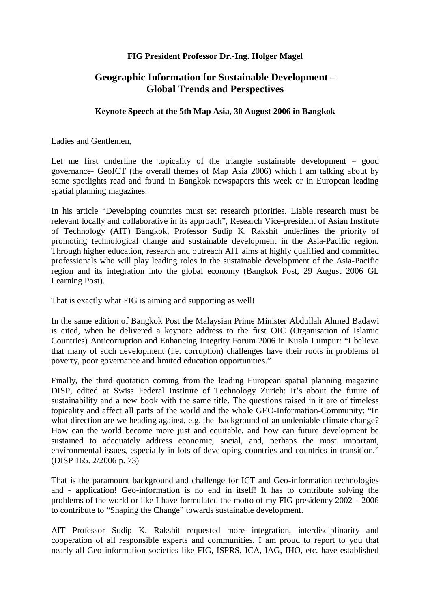### **FIG President Professor Dr.-Ing. Holger Magel**

# **Geographic Information for Sustainable Development – Global Trends and Perspectives**

#### **Keynote Speech at the 5th Map Asia, 30 August 2006 in Bangkok**

Ladies and Gentlemen,

Let me first underline the topicality of the triangle sustainable development – good governance- GeoICT (the overall themes of Map Asia 2006) which I am talking about by some spotlights read and found in Bangkok newspapers this week or in European leading spatial planning magazines:

In his article "Developing countries must set research priorities. Liable research must be relevant locally and collaborative in its approach", Research Vice-president of Asian Institute of Technology (AIT) Bangkok, Professor Sudip K. Rakshit underlines the priority of promoting technological change and sustainable development in the Asia-Pacific region. Through higher education, research and outreach AIT aims at highly qualified and committed professionals who will play leading roles in the sustainable development of the Asia-Pacific region and its integration into the global economy (Bangkok Post, 29 August 2006 GL Learning Post).

That is exactly what FIG is aiming and supporting as well!

In the same edition of Bangkok Post the Malaysian Prime Minister Abdullah Ahmed Badawi is cited, when he delivered a keynote address to the first OIC (Organisation of Islamic Countries) Anticorruption and Enhancing Integrity Forum 2006 in Kuala Lumpur: "I believe that many of such development (i.e. corruption) challenges have their roots in problems of poverty, poor governance and limited education opportunities."

Finally, the third quotation coming from the leading European spatial planning magazine DISP, edited at Swiss Federal Institute of Technology Zurich: It's about the future of sustainability and a new book with the same title. The questions raised in it are of timeless topicality and affect all parts of the world and the whole GEO-Information-Community: "In what direction are we heading against, e.g. the background of an undeniable climate change? How can the world become more just and equitable, and how can future development be sustained to adequately address economic, social, and, perhaps the most important, environmental issues, especially in lots of developing countries and countries in transition." (DISP 165. 2/2006 p. 73)

That is the paramount background and challenge for ICT and Geo-information technologies and - application! Geo-information is no end in itself! It has to contribute solving the problems of the world or like I have formulated the motto of my FIG presidency 2002 – 2006 to contribute to "Shaping the Change" towards sustainable development.

AIT Professor Sudip K. Rakshit requested more integration, interdisciplinarity and cooperation of all responsible experts and communities. I am proud to report to you that nearly all Geo-information societies like FIG, ISPRS, ICA, IAG, IHO, etc. have established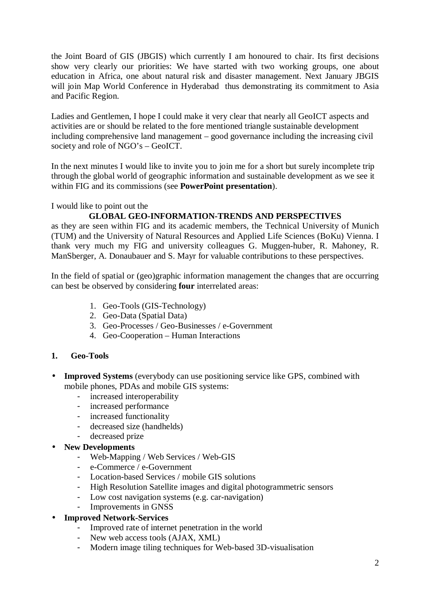the Joint Board of GIS (JBGIS) which currently I am honoured to chair. Its first decisions show very clearly our priorities: We have started with two working groups, one about education in Africa, one about natural risk and disaster management. Next January JBGIS will join Map World Conference in Hyderabad thus demonstrating its commitment to Asia and Pacific Region.

Ladies and Gentlemen, I hope I could make it very clear that nearly all GeoICT aspects and activities are or should be related to the fore mentioned triangle sustainable development including comprehensive land management – good governance including the increasing civil society and role of NGO's – GeoICT.

In the next minutes I would like to invite you to join me for a short but surely incomplete trip through the global world of geographic information and sustainable development as we see it within FIG and its commissions (see **PowerPoint presentation**).

I would like to point out the

#### **GLOBAL GEO-INFORMATION-TRENDS AND PERSPECTIVES**

as they are seen within FIG and its academic members, the Technical University of Munich (TUM) and the University of Natural Resources and Applied Life Sciences (BoKu) Vienna. I thank very much my FIG and university colleagues G. Muggen-huber, R. Mahoney, R. ManSberger, A. Donaubauer and S. Mayr for valuable contributions to these perspectives.

In the field of spatial or (geo)graphic information management the changes that are occurring can best be observed by considering **four** interrelated areas:

- 1. Geo-Tools (GIS-Technology)
- 2. Geo-Data (Spatial Data)
- 3. Geo-Processes / Geo-Businesses / e-Government
- 4. Geo-Cooperation Human Interactions

#### **1. Geo-Tools**

- **Improved Systems** (everybody can use positioning service like GPS, combined with mobile phones, PDAs and mobile GIS systems:
	- increased interoperability
	- increased performance
	- increased functionality
	- decreased size (handhelds)
	- decreased prize
- **New Developments**
	- Web-Mapping / Web Services / Web-GIS
	- e-Commerce / e-Government
	- Location-based Services / mobile GIS solutions
	- High Resolution Satellite images and digital photogrammetric sensors
	- Low cost navigation systems (e.g. car-navigation)
	- Improvements in GNSS

#### • **Improved Network-Services**

- Improved rate of internet penetration in the world
- New web access tools (AJAX, XML)
- Modern image tiling techniques for Web-based 3D-visualisation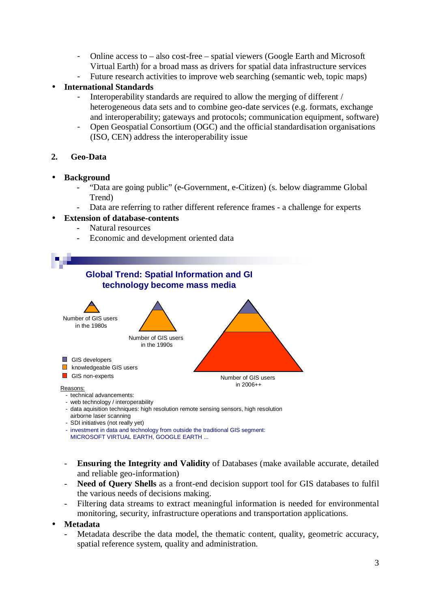- Online access to also cost-free spatial viewers (Google Earth and Microsoft Virtual Earth) for a broad mass as drivers for spatial data infrastructure services
- Future research activities to improve web searching (semantic web, topic maps)

# • **International Standards**

- Interoperability standards are required to allow the merging of different / heterogeneous data sets and to combine geo-date services (e.g. formats, exchange and interoperability; gateways and protocols; communication equipment, software)
- Open Geospatial Consortium (OGC) and the official standardisation organisations (ISO, CEN) address the interoperability issue

# **2. Geo-Data**

#### • **Background**

- "Data are going public" (e-Government, e-Citizen) (s. below diagramme Global Trend)
- Data are referring to rather different reference frames a challenge for experts

#### • **Extension of database-contents**

- Natural resources
- Economic and development oriented data



- investment in data and technology from outside the traditional GIS segment: MICROSOFT VIRTUAL EARTH, GOOGLE EARTH ...
- **Ensuring the Integrity and Validity** of Databases (make available accurate, detailed and reliable geo-information)
- **Need of Query Shells** as a front-end decision support tool for GIS databases to fulfil the various needs of decisions making.
- Filtering data streams to extract meaningful information is needed for environmental monitoring, security, infrastructure operations and transportation applications.

#### • **Metadata**

Metadata describe the data model, the thematic content, quality, geometric accuracy, spatial reference system, quality and administration.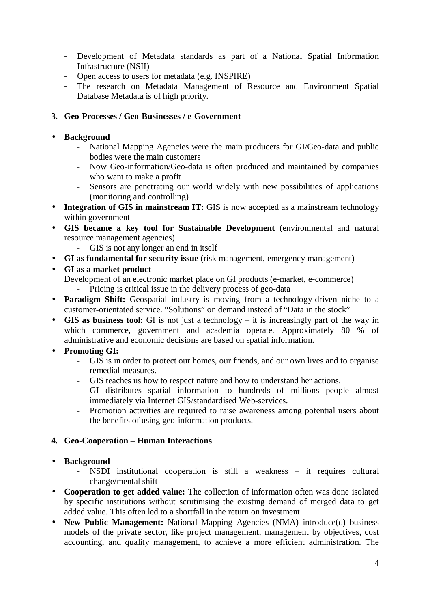- Development of Metadata standards as part of a National Spatial Information Infrastructure (NSII)
- Open access to users for metadata (e.g. INSPIRE)
- The research on Metadata Management of Resource and Environment Spatial Database Metadata is of high priority.

### **3. Geo-Processes / Geo-Businesses / e-Government**

# • **Background**

- National Mapping Agencies were the main producers for GI/Geo-data and public bodies were the main customers
- Now Geo-information/Geo-data is often produced and maintained by companies who want to make a profit
- Sensors are penetrating our world widely with new possibilities of applications (monitoring and controlling)
- **Integration of GIS in mainstream IT:** GIS is now accepted as a mainstream technology within government
- **GIS became a key tool for Sustainable Development** (environmental and natural resource management agencies)
	- GIS is not any longer an end in itself
- **GI as fundamental for security issue** (risk management, emergency management)
- **GI as a market product**
	- Development of an electronic market place on GI products (e-market, e-commerce) Pricing is critical issue in the delivery process of geo-data
- **Paradigm Shift:** Geospatial industry is moving from a technology-driven niche to a customer-orientated service. "Solutions" on demand instead of "Data in the stock"
- **GIS as business tool:** GI is not just a technology it is increasingly part of the way in which commerce, government and academia operate. Approximately 80 % of administrative and economic decisions are based on spatial information.
- **Promoting GI:**
	- GIS is in order to protect our homes, our friends, and our own lives and to organise remedial measures.
	- GIS teaches us how to respect nature and how to understand her actions.
	- GI distributes spatial information to hundreds of millions people almost immediately via Internet GIS/standardised Web-services.
	- Promotion activities are required to raise awareness among potential users about the benefits of using geo-information products.

#### **4. Geo-Cooperation – Human Interactions**

#### • **Background**

- NSDI institutional cooperation is still a weakness it requires cultural change/mental shift
- **Cooperation to get added value:** The collection of information often was done isolated by specific institutions without scrutinising the existing demand of merged data to get added value. This often led to a shortfall in the return on investment
- **New Public Management:** National Mapping Agencies (NMA) introduce(d) business models of the private sector, like project management, management by objectives, cost accounting, and quality management, to achieve a more efficient administration. The